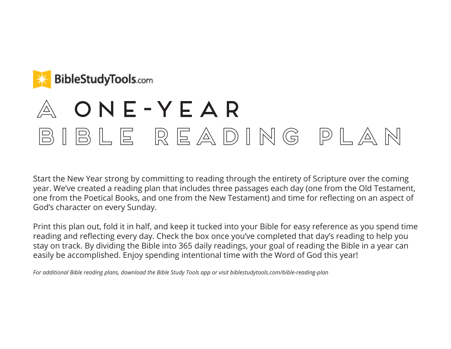

# $A$  ONE-YEAR bible reading plan

Start the New Year strong by committing to reading through the entirety of Scripture over the coming year. We've created a reading plan that includes three passages each day (one from the Old Testament, one from the Poetical Books, and one from the New Testament) and time for reflecting on an aspect of God's character on every Sunday.

Print this plan out, fold it in half, and keep it tucked into your Bible for easy reference as you spend time reading and reflecting every day. Check the box once you've completed that day's reading to help you stay on track. By dividing the Bible into 365 daily readings, your goal of reading the Bible in a year can easily be accomplished. Enjoy spending intentional time with the Word of God this year!

*For additional Bible reading plans, download the Bible Study Tools app or visit biblestudytools.com/bible-reading-plan*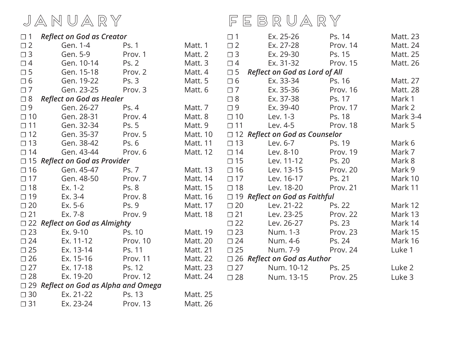### january

☐ 1 *Reflect on God as Creator*

### ☐ 2 Gen. 1-4 Ps. 1 Matt. 1 □ 1 Ex. 25-26 Ps. 14 Matt. 23<br>□ 2 Ex. 27-28 Prov. 14 Matt. 24 Ex. 27-28 february

| $\Box$ 3     | Gen. 5-9                                    | Prov. 1      | Matt. 2 $\Box$ 3 |              | Ex. 29-30                                 | Ps. 15   | Matt. 25        |
|--------------|---------------------------------------------|--------------|------------------|--------------|-------------------------------------------|----------|-----------------|
| $\Box$ 4     | Gen. 10-14                                  | Ps. 2        | Matt. 3          | $\Box$ 4     | Ex. 31-32                                 | Prov. 15 | Matt. 26        |
| $\square$ 5  | Gen. 15-18                                  | Prov. 2      | Matt. 4          |              | $\square$ 5 Reflect on God as Lord of All |          |                 |
| $\Box$ 6     | Gen. 19-22                                  | Ps. 3        | Matt. 5          | $\Box$ 6     | Ex. 33-34                                 | Ps. 16   | Matt. 27        |
| $\square$ 7  | Gen. 23-25                                  | Prov. 3      | Matt. 6          | $\Box$ 7     | Ex. 35-36                                 | Prov. 16 | <b>Matt. 28</b> |
| $\Box$ 8     | <b>Reflect on God as Healer</b>             |              |                  | $\square$ 8  | Ex. 37-38                                 | Ps. 17   | Mark 1          |
| $\Box$ 9     | Gen. 26-27                                  | Ps. 4        | Matt. 7          | $\Box$ 9     | Ex. 39-40                                 | Prov. 17 | Mark 2          |
| $\Box$ 10    | Gen. 28-31                                  | Prov. 4      | Matt. 8          | $\Box$ 10    | Lev. 1-3                                  | Ps. 18   | Mark 3-4        |
| $\Box$ 11    | Gen. 32-34                                  | Ps. 5        | Matt. 9          | $\square$ 11 | Lev. 4-5                                  | Prov. 18 | Mark 5          |
| $\square$ 12 | Gen. 35-37                                  | Prov. 5      | Matt. 10         |              | $\Box$ 12 Reflect on God as Counselor     |          |                 |
| $\Box$ 13    | Gen. 38-42                                  | Ps. 6        | Matt. 11         | $\square$ 13 | Lev. 6-7                                  | Ps. 19   | Mark 6          |
| $\Box$ 14    | Gen. 43-44                                  | Prov. 6      | Matt. 12         | $\Box$ 14    | Lev. 8-10                                 | Prov. 19 | Mark 7          |
|              | $\Box$ 15 Reflect on God as Provider        |              |                  | $\Box$ 15    | Lev. 11-12                                | Ps. 20   | Mark 8          |
| $\square$ 16 | Gen. 45-47                                  | <b>Ps. 7</b> | Matt. 13         | $\Box$ 16    | Lev. 13-15                                | Prov. 20 | Mark 9          |
| $\Box$ 17    | Gen. 48-50                                  | Prov. 7      | Matt. 14         | $\Box$ 17    | Lev. 16-17                                | Ps. 21   | Mark 10         |
| $\square$ 18 | Ex. 1-2                                     | Ps. 8        | Matt. 15         | $\square$ 18 | Lev. 18-20                                | Prov. 21 | Mark 11         |
| $\Box$ 19    | Ex. 3-4                                     | Prov. 8      | Matt. 16         |              | $\Box$ 19 Reflect on God as Faithful      |          |                 |
| $\square$ 20 | $Ex. 5-6$                                   | Ps. 9        | Matt. 17         | $\square$ 20 | Lev. 21-22                                | Ps. 22   | Mark 12         |
| $\square$ 21 | Ex. 7-8                                     | Prov. 9      | Matt. 18         | $\Box$ 21    | Lev. 23-25                                | Prov. 22 | Mark 13         |
|              | $\Box$ 22 Reflect on God as Almighty        |              |                  | $\Box$ 22    | Lev. 26-27                                | Ps. 23   | Mark 14         |
| $\Box$ 23    | Ex. 9-10                                    | Ps. 10       | Matt. 19         | $\Box$ 23    | Num. 1-3                                  | Prov. 23 | Mark 15         |
| $\square$ 24 | Ex. 11-12                                   | Prov. 10     | Matt. 20         | $\Box$ 24    | Num. 4-6                                  | Ps. 24   | Mark 16         |
| $\Box$ 25    | Ex. 13-14                                   | Ps. 11       | Matt. 21         | $\Box$ 25    | Num. 7-9                                  | Prov. 24 | Luke 1          |
| $\square$ 26 | Ex. 15-16                                   | Prov. 11     | Matt. 22         |              | $\Box$ 26 Reflect on God as Author        |          |                 |
| $\Box$ 27    | Ex. 17-18                                   | Ps. 12       | Matt. 23         | $\square$ 27 | Num. 10-12                                | Ps. 25   | Luke 2          |
| $\square$ 28 | Ex. 19-20                                   | Prov. 12     | Matt. 24         | $\square$ 28 | Num. 13-15                                | Prov. 25 | Luke 3          |
|              | $\Box$ 29 Reflect on God as Alpha and Omega |              |                  |              |                                           |          |                 |
| $\Box$ 30    | Ex. 21-22                                   | Ps. 13       | Matt. 25         |              |                                           |          |                 |
| $\Box$ 31    | Ex. 23-24                                   | Prov. 13     | <b>Matt. 26</b>  |              |                                           |          |                 |
|              |                                             |              |                  |              |                                           |          |                 |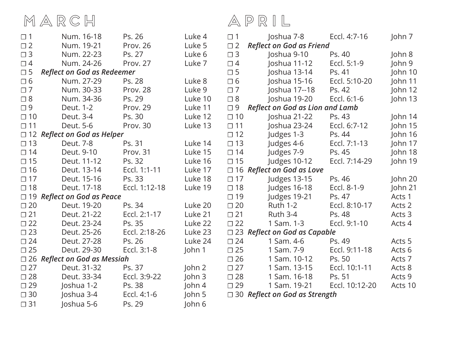### $M \triangle R \subseteq H$   $\triangle P \triangle I \square$

| $\Box$ 1     | Num. 16-18                          | Ps. 26        | Luke 4            | $\square$ 1  | Joshua 7-8                             | Eccl. 4:7-16   | John 7    |
|--------------|-------------------------------------|---------------|-------------------|--------------|----------------------------------------|----------------|-----------|
| $\square$ 2  | Num. 19-21                          | Prov. 26      | Luke 5            | $\square$ 2  | <b>Reflect on God as Friend</b>        |                |           |
| $\Box$ 3     | Num. 22-23                          | Ps. 27        | Luke 6            | $\Box$ 3     | Joshua 9-10                            | Ps. 40         | John 8    |
| $\Box$ 4     | Num. 24-26                          | Prov. 27      | Luke 7            | $\Box$ 4     | Joshua 11-12                           | Eccl. 5:1-9    | John 9    |
| $\square$ 5  | <b>Reflect on God as Redeemer</b>   |               |                   | $\square$ 5  | Joshua 13-14                           | Ps. 41         | John 10   |
| $\Box$ 6     | Num. 27-29                          | Ps. 28        | Luke 8            | $\Box$ 6     | Joshua 15-16                           | Eccl. 5:10-20  | John $11$ |
| $\Box$ 7     | Num. 30-33                          | Prov. 28      | Luke 9            | $\square$ 7  | Joshua 17--18                          | Ps. 42         | John 12   |
| $\square$ 8  | Num. 34-36                          | Ps. 29        | Luke 10           | $\square$ 8  | Joshua 19-20                           | Eccl. 6:1-6    | John 13   |
| $\Box$ 9     | Deut. 1-2                           | Prov. 29      | Luke 11           | $\Box$ 9     | <b>Reflect on God as Lion and Lamb</b> |                |           |
| $\square$ 10 | Deut. 3-4                           | Ps. 30        | Luke 12           | $\Box$ 10    | Joshua 21-22                           | Ps. 43         | John $14$ |
| $\square$ 11 | Deut. 5-6                           | Prov. 30      | Luke 13           | $\square$ 11 | Joshua 23-24                           | Eccl. 6:7-12   | John 15   |
|              | $\Box$ 12 Reflect on God as Helper  |               |                   | $\square$ 12 | Judges 1-3                             | Ps. 44         | John 16   |
| $\square$ 13 | Deut. 7-8                           | Ps. 31        | Luke 14           | $\square$ 13 | Judges 4-6                             | Eccl. 7:1-13   | John 17   |
| $\square$ 14 | Deut. 9-10                          | Prov. 31      | Luke 15           | $\square$ 14 | Judges 7-9                             | Ps. 45         | John 18   |
| $\square$ 15 | Deut. 11-12                         | Ps. 32        | Luke 16           | $\square$ 15 | Judges 10-12                           | Eccl. 7:14-29  | John 19   |
| $\square$ 16 | Deut. 13-14                         | Eccl. 1:1-11  | Luke 17           |              | $\Box$ 16 Reflect on God as Love       |                |           |
| $\square$ 17 | Deut. 15-16                         | Ps. 33        | Luke 18           | $\square$ 17 | Judges 13-15                           | Ps. 46         | John 20   |
| $\square$ 18 | Deut. 17-18                         | Eccl. 1:12-18 | Luke 19           | $\square$ 18 | Judges 16-18                           | Eccl. 8-1-9    | John 21   |
| $\Box$ 19    | <b>Reflect on God as Peace</b>      |               |                   | $\Box$ 19    | Judges 19-21                           | Ps. 47         | Acts 1    |
| $\square$ 20 | Deut. 19-20                         | Ps. 34        | Luke 20           | $\square$ 20 | <b>Ruth 1-2</b>                        | Eccl. 8:10-17  | Acts 2    |
| $\square$ 21 | Deut. 21-22                         | Eccl. 2:1-17  | Luke 21           | $\square$ 21 | <b>Ruth 3-4</b>                        | Ps. 48         | Acts 3    |
| $\square$ 22 | Deut. 23-24                         | Ps. 35        | Luke 22           | $\square$ 22 | 1 Sam. 1-3                             | Eccl. 9:1-10   | Acts 4    |
| $\square$ 23 | Deut. 25-26                         | Eccl. 2:18-26 | Luke 23           |              | $\Box$ 23 Reflect on God as Capable    |                |           |
| $\square$ 24 | Deut. 27-28                         | Ps. 26        | Luke 24           | $\square$ 24 | 1 Sam. 4-6                             | Ps. 49         | Acts 5    |
| $\square$ 25 | Deut. 29-30                         | Eccl. 3:1-8   | John $1$          | $\square$ 25 | 1 Sam. 7-9                             | Eccl. 9:11-18  | Acts 6    |
|              | $\Box$ 26 Reflect on God as Messiah |               |                   | $\square$ 26 | 1 Sam. 10-12                           | Ps. 50         | Acts 7    |
| $\square$ 27 | Deut. 31-32                         | Ps. 37        | John <sub>2</sub> | $\Box$ 27    | 1 Sam. 13-15                           | Eccl. 10:1-11  | Acts 8    |
| $\square$ 28 | Deut. 33-34                         | Eccl. 3:9-22  | John 3            | $\square$ 28 | 1 Sam. 16-18                           | Ps. 51         | Acts 9    |
| $\square$ 29 | Joshua 1-2                          | Ps. 38        | John <sub>4</sub> | $\square$ 29 | 1 Sam. 19-21                           | Eccl. 10:12-20 | Acts 10   |
| $\square$ 30 | Joshua 3-4                          | Eccl. 4:1-6   | John 5            |              | $\Box$ 30 Reflect on God as Strength   |                |           |
| $\square$ 31 | Joshua 5-6                          | Ps. 29        | John 6            |              |                                        |                |           |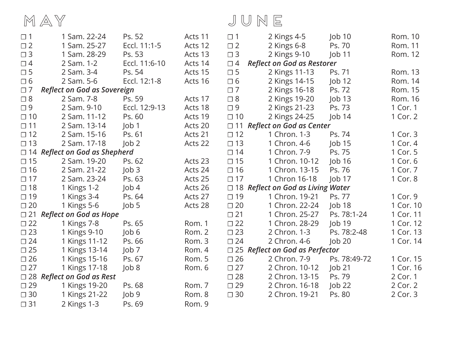| MAY |  |  | JUNE |  |
|-----|--|--|------|--|
|-----|--|--|------|--|

| $\Box$ 1     | 1 Sam. 22-24                         | Ps. 52           | Acts 11 | $\Box$ 1     | 2 Kings 4-5                              | $J$ ob 10     | Rom. 10   |
|--------------|--------------------------------------|------------------|---------|--------------|------------------------------------------|---------------|-----------|
| $\square$ 2  | 1 Sam. 25-27                         | Eccl. 11:1-5     | Acts 12 | $\square$ 2  | 2 Kings 6-8                              | Ps. 70        | Rom. 11   |
| $\square$ 3  | 1 Sam. 28-29                         | Ps. 53           | Acts 13 | $\Box$ 3     | 2 Kings 9-10                             | Job 11        | Rom. 12   |
| $\Box$ 4     | 2 Sam. 1-2                           | Eccl. 11:6-10    | Acts 14 | $\Box$ 4     | <b>Reflect on God as Restorer</b>        |               |           |
| $\square$ 5  | 2 Sam. 3-4                           | Ps. 54           | Acts 15 | $\square$ 5  | 2 Kings 11-13                            | Ps. 71        | Rom. 13   |
| $\Box$ 6     | 2 Sam. 5-6                           | Eccl. 12:1-8     | Acts 16 | $\Box$ 6     | 2 Kings 14-15                            | Job 12        | Rom. 14   |
| $\Box$ 7     | <b>Reflect on God as Sovereign</b>   |                  |         | $\Box$ 7     | 2 Kings 16-18                            | Ps. 72        | Rom. 15   |
| $\square$ 8  | 2 Sam. 7-8                           | Ps. 59           | Acts 17 | $\square$ 8  | 2 Kings 19-20                            | Job 13        | Rom. 16   |
| $\Box$ 9     | 2 Sam. 9-10                          | Eccl. 12:9-13    | Acts 18 | $\Box$ 9     | 2 Kings 21-23                            | Ps. 73        | 1 Cor. 1  |
| $\square$ 10 | 2 Sam. 11-12                         | Ps. 60           | Acts 19 | $\square$ 10 | 2 Kings 24-25                            | Job 14        | 1 Cor. 2  |
| $\square$ 11 | 2 Sam. 13-14                         | $\vert$ ob 1     | Acts 20 | $\Box$ 11    | <b>Reflect on God as Center</b>          |               |           |
| $\square$ 12 | 2 Sam. 15-16                         | Ps. 61           | Acts 21 | $\square$ 12 | 1 Chron. 1-3                             | Ps. 74        | 1 Cor. 3  |
| $\Box$ 13    | 2 Sam. 17-18                         | $\mathsf{Job} 2$ | Acts 22 | $\square$ 13 | 1 Chron. 4-6                             | $\vert$ ob 15 | 1 Cor. 4  |
|              | $\Box$ 14 Reflect on God as Shepherd |                  |         | $\square$ 14 | 1 Chron. 7-9                             | Ps. 75        | 1 Cor. 5  |
| $\square$ 15 | 2 Sam. 19-20                         | Ps. 62           | Acts 23 | $\square$ 15 | 1 Chron. 10-12                           | $\vert$ ob 16 | 1 Cor. 6  |
| $\square$ 16 | 2 Sam. 21-22                         | Job3             | Acts 24 | $\square$ 16 | 1 Chron. 13-15                           | Ps. 76        | 1 Cor. 7  |
| $\Box$ 17    | 2 Sam. 23-24                         | Ps. 63           | Acts 25 | $\Box$ 17    | 1 Chron 16-18                            | $\vert$ ob 17 | 1 Cor. 8  |
| $\square$ 18 | 1 Kings 1-2                          | $J$ ob 4         | Acts 26 |              | $\Box$ 18 Reflect on God as Living Water |               |           |
| $\square$ 19 | 1 Kings 3-4                          | Ps. 64           | Acts 27 | $\Box$ 19    | 1 Chron. 19-21                           | Ps. 77        | 1 Cor. 9  |
| $\square$ 20 | 1 Kings 5-6                          | Job 5            | Acts 28 | $\square$ 20 | 1 Chron. 22-24                           | Job 18        | 1 Cor. 10 |
| $\square$ 21 | <b>Reflect on God as Hope</b>        |                  |         | $\square$ 21 | 1 Chron. 25-27                           | Ps. 78:1-24   | 1 Cor. 11 |
| $\square$ 22 | 1 Kings 7-8                          | Ps. 65           | Rom. 1  | $\square$ 22 | 1 Chron. 28-29                           | $\vert$ ob 19 | 1 Cor. 12 |
| $\square$ 23 | 1 Kings 9-10                         | $J$ ob 6         | Rom. 2  | $\square$ 23 | 2 Chron. 1-3                             | Ps. 78:2-48   | 1 Cor. 13 |
| $\square$ 24 | 1 Kings 11-12                        | Ps. 66           | Rom. 3  | $\square$ 24 | 2 Chron. 4-6                             | Job 20        | 1 Cor. 14 |
| $\square$ 25 | 1 Kings 13-14                        | Job <sub>7</sub> | Rom. 4  |              | $\Box$ 25 Reflect on God as Perfector    |               |           |
| $\square$ 26 | 1 Kings 15-16                        | Ps. 67           | Rom. 5  | $\square$ 26 | 2 Chron. 7-9                             | Ps. 78:49-72  | 1 Cor. 15 |
| $\square$ 27 | 1 Kings 17-18                        | Job 8            | Rom. 6  | $\square$ 27 | 2 Chron. 10-12                           | Job 21        | 1 Cor. 16 |
|              | $\Box$ 28 Reflect on God as Rest     |                  |         | $\square$ 28 | 2 Chron. 13-15                           | Ps. 79        | 2 Cor. 1  |
| $\square$ 29 | 1 Kings 19-20                        | Ps. 68           | Rom. 7  | $\square$ 29 | 2 Chron. 16-18                           | $J$ ob 22     | 2 Cor. 2  |
| $\square$ 30 | 1 Kings 21-22                        | Job 9            | Rom. 8  | $\square$ 30 | 2 Chron. 19-21                           | Ps. 80        | 2 Cor. 3  |
| $\square$ 31 | 2 Kings 1-3                          | Ps. 69           | Rom. 9  |              |                                          |               |           |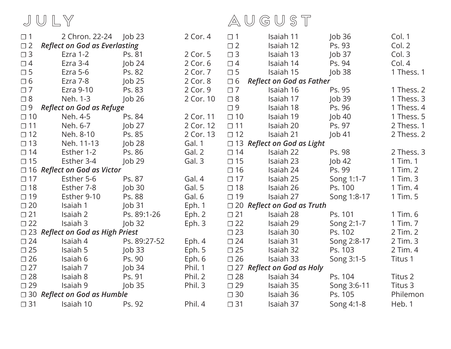july august

| $\Box$ 1     |                                         |                    | 2 Cor. 4  | $\Box$ 1     | Isaiah 11                         | $\vert$ ob 36    | Col. 1     |
|--------------|-----------------------------------------|--------------------|-----------|--------------|-----------------------------------|------------------|------------|
| $\square$ 2  | <b>Reflect on God as Everlasting</b>    |                    |           | $\square$ 2  | Isaiah 12                         | Ps. 93           | Col. 2     |
| $\Box$ 3     | Ezra 1-2                                | Ps. 81             | 2 Cor. 5  | $\Box$ 3     | Isaiah 13                         | $\mathsf{Job}37$ | Col.3      |
| $\Box$ 4     | Ezra 3-4                                | $\vert$ ob 24      | 2 Cor. 6  | $\Box$ 4     | Isaiah 14                         | Ps. 94           | Col. 4     |
| $\square$ 5  | Ezra 5-6                                | Ps. 82             | 2 Cor. 7  | $\square$ 5  | Isaiah 15                         | Job38            | 1 Thess. 1 |
| $\Box$ 6     | Ezra 7-8                                | $\mathsf{lob}\,25$ | 2 Cor. 8  | $\Box$ 6     | <b>Reflect on God as Father</b>   |                  |            |
| $\Box$ 7     | Ezra 9-10                               | Ps. 83             | 2 Cor. 9  | $\Box$ 7     | Isaiah 16                         | Ps. 95           | 1 Thess. 2 |
| $\square$ 8  | Neh. 1-3                                | $\mathsf{Job}26$   | 2 Cor. 10 | $\Box$ 8     | Isaiah 17                         | $\mathsf{Job}39$ | 1 Thess. 3 |
| $\Box$ 9     | <b>Reflect on God as Refuge</b>         |                    |           | $\Box$ 9     | Isaiah 18                         | Ps. 96           | 1 Thess. 4 |
| $\square$ 10 | Neh. 4-5                                | Ps. 84             | 2 Cor. 11 | $\square$ 10 | Isaiah 19                         | $\vert$ ob 40    | 1 Thess. 5 |
| $\square$ 11 | Neh. 6-7                                | $\mathsf{Job}$ 27  | 2 Cor. 12 | $\square$ 11 | Isaiah 20                         | Ps. 97           | 2 Thess. 1 |
| $\square$ 12 | Neh. 8-10                               | Ps. 85             | 2 Cor. 13 | $\square$ 12 | Isaiah 21                         | $\vert$ ob 41    | 2 Thess. 2 |
| $\square$ 13 | Neh. 11-13                              | $\mathsf{Job}$ 28  | Gal. 1    |              | $\Box$ 13 Reflect on God as Light |                  |            |
| $\Box$ 14    | Esther 1-2                              | Ps. 86             | Gal. 2    | $\Box$ 14    | Isaiah 22                         | Ps. 98           | 2 Thess. 3 |
| $\square$ 15 | Esther 3-4                              | Job29              | Gal. 3    | $\Box$ 15    | Isaiah 23                         | Job42            | 1 Tim. 1   |
|              | $\Box$ 16 Reflect on God as Victor      |                    |           | $\square$ 16 | Isaiah 24                         | Ps. 99           | 1 Tim. 2   |
| $\Box$ 17    | Esther 5-6                              | Ps. 87             | Gal. 4    | $\Box$ 17    | Isaiah 25                         | Song 1:1-7       | 1 Tim. 3   |
| $\square$ 18 | Esther 7-8                              | $\vert$ ob 30      | Gal. 5    | $\square$ 18 | Isaiah 26                         | Ps. 100          | 1 Tim. 4   |
| $\Box$ 19    | Esther 9-10                             | Ps. 88             | Gal. 6    | $\square$ 19 | Isaiah 27                         | Song 1:8-17      | 1 Tim. 5   |
| $\square$ 20 | Isaiah 1                                | Job31              | Eph. 1    |              | $\Box$ 20 Reflect on God as Truth |                  |            |
| $\square$ 21 | Isaiah 2                                | Ps. 89:1-26        | Eph. $2$  | $\square$ 21 | Isaiah 28                         | Ps. 101          | 1 Tim. 6   |
| $\square$ 22 | Isaiah 3                                | $\vert$ ob 32      | Eph. $3$  | $\square$ 22 | Isaiah 29                         | Song 2:1-7       | 1 Tim. 7   |
|              | $\Box$ 23 Reflect on God as High Priest |                    |           | $\square$ 23 | Isaiah 30                         | Ps. 102          | 2 Tim. 2   |
| $\square$ 24 | Isaiah 4                                | Ps. 89:27-52       | Eph. $4$  | $\square$ 24 | Isaiah 31                         | Song 2:8-17      | 2 Tim. 3   |
| $\square$ 25 | Isaiah 5                                | $\vert$ ob 33      | Eph. 5    | $\square$ 25 | Isaiah 32                         | Ps. 103          | 2 Tim. 4   |
| $\square$ 26 | Isaiah 6                                | Ps. 90             | Eph. $6$  | $\square$ 26 | Isaiah 33                         | Song 3:1-5       | Titus 1    |
| $\square$ 27 | Isaiah 7                                | $\vert$ ob 34      | Phil. 1   |              | $\Box$ 27 Reflect on God as Holy  |                  |            |
| $\square$ 28 | Isaiah 8                                | Ps. 91             | Phil. 2   | $\square$ 28 | Isaiah 34                         | Ps. 104          | Titus 2    |
| $\square$ 29 | Isaiah 9                                | $\vert$ ob 35      | Phil. 3   | $\square$ 29 | Isaiah 35                         | Song 3:6-11      | Titus 3    |
|              | $\Box$ 30 Reflect on God as Humble      |                    |           | $\square$ 30 | Isaiah 36                         | Ps. 105          | Philemon   |
| $\square$ 31 | Isaiah 10                               | Ps. 92             | Phil. 4   | $\square$ 31 | Isaiah 37                         | Song 4:1-8       | Heb. 1     |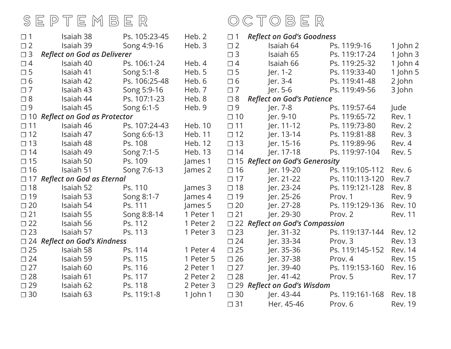## SEPTEMBER OCTOBER

| $\Box$ 1     | Isaiah 38                              | Ps. 105:23-45 | Heb. 2     | $\Box$ 1     | <b>Reflect on God's Goodness</b>      |                 |                |
|--------------|----------------------------------------|---------------|------------|--------------|---------------------------------------|-----------------|----------------|
| $\Box$ 2     | Isaiah 39                              | Song 4:9-16   | Heb. 3     | $\square$ 2  | Isaiah 64                             | Ps. 119:9-16    | $1$ John $2$   |
| $\Box$ 3     | <b>Reflect on God as Deliverer</b>     |               |            | $\square$ 3  | Isaiah 65                             | Ps. 119:17-24   | 1 John 3       |
| $\Box$ 4     | Isaiah 40                              | Ps. 106:1-24  | Heb. 4     | $\Box$ 4     | Isaiah 66                             | Ps. 119:25-32   | 1 John $4$     |
| $\Box$ 5     | Isaiah 41                              | Song 5:1-8    | Heb. 5     | $\square$ 5  | Jer. 1-2                              | Ps. 119:33-40   | 1 John $5$     |
| $\Box$ 6     | Isaiah 42                              | Ps. 106:25-48 | Heb. 6     | $\Box$ 6     | Jer. 3-4                              | Ps. 119:41-48   | 2 John         |
| $\Box$ 7     | Isaiah 43                              | Song 5:9-16   | Heb. 7     | $\square$ 7  | Jer. 5-6                              | Ps. 119:49-56   | 3 John         |
| $\Box$ 8     | Isaiah 44                              | Ps. 107:1-23  | Heb. 8     | $\square$ 8  | <b>Reflect on God's Patience</b>      |                 |                |
| $\Box$ 9     | Isaiah 45                              | Song 6:1-5    | Heb. 9     | $\Box$ 9     | Jer. 7-8                              | Ps. 119:57-64   | Jude           |
| $\Box$ 10    | <b>Reflect on God as Protector</b>     |               |            | $\Box$ 10    | Jer. 9-10                             | Ps. 119:65-72   | Rev. 1         |
| $\Box$ 11    | Isaiah 46                              | Ps. 107:24-43 | Heb. 10    | $\square$ 11 | Jer. 11-12                            | Ps. 119:73-80   | Rev. 2         |
| $\Box$ 12    | Isaiah 47                              | Song 6:6-13   | Heb. 11    | $\square$ 12 | Jer. 13-14                            | Ps. 119:81-88   | Rev. 3         |
| $\Box$ 13    | Isaiah 48                              | Ps. 108       | Heb. 12    | $\Box$ 13    | Jer. 15-16                            | Ps. 119:89-96   | Rev. 4         |
| $\Box$ 14    | Isaiah 49                              | Song 7:1-5    | Heb. 13    | $\Box$ 14    | Jer. 17-18                            | Ps. 119:97-104  | Rev. 5         |
| $\Box$ 15    | Isaiah 50                              | Ps. 109       | James 1    |              | $\Box$ 15 Reflect on God's Generosity |                 |                |
| $\square$ 16 | Isaiah 51                              | Song 7:6-13   | James 2    | $\square$ 16 | Jer. 19-20                            | Ps. 119:105-112 | Rev. 6         |
|              | $\Box$ 17 Reflect on God as Eternal    |               |            | $\Box$ 17    | Jer. 21-22                            | Ps. 110:113-120 | Rev.7          |
| $\square$ 18 | Isaiah 52                              | Ps. 110       | James 3    | $\square$ 18 | Jer. 23-24                            | Ps. 119:121-128 | Rev. 8         |
| $\Box$ 19    | Isaiah 53                              | Song 8:1-7    | James 4    | $\square$ 19 | Jer. 25-26                            | Prov. 1         | Rev. 9         |
| $\square$ 20 | Isaiah 54                              | Ps. 111       | James 5    | $\square$ 20 | ler. 27-28                            | Ps. 119:129-136 | <b>Rev. 10</b> |
| $\Box$ 21    | Isaiah 55                              | Song 8:8-14   | 1 Peter 1  | $\square$ 21 | ler. 29-30                            | Prov. 2         | <b>Rev. 11</b> |
| $\Box$ 22    | Isaiah 56                              | Ps. 112       | 1 Peter 2  |              | $\Box$ 22 Reflect on God's Compassion |                 |                |
| $\Box$ 23    | Isaiah 57                              | Ps. 113       | 1 Peter 3  | $\square$ 23 | Jer. 31-32                            | Ps. 119:137-144 | <b>Rev. 12</b> |
|              | $\square$ 24 Reflect on God's Kindness |               |            | $\square$ 24 | Jer. 33-34                            | Prov. 3         | <b>Rev. 13</b> |
| $\square$ 25 | Isaiah 58                              | Ps. 114       | 1 Peter 4  | $\square$ 25 | Jer. 35-36                            | Ps. 119:145-152 | <b>Rev. 14</b> |
| $\square$ 24 | Isaiah 59                              | Ps. 115       | 1 Peter 5  | $\square$ 26 | Jer. 37-38                            | Prov. 4         | <b>Rev. 15</b> |
| $\square$ 27 | Isaiah 60                              | Ps. 116       | 2 Peter 1  | $\square$ 27 | Jer. 39-40                            | Ps. 119:153-160 | <b>Rev. 16</b> |
| $\square$ 28 | Isaiah 61                              | Ps. 117       | 2 Peter 2  | $\square$ 28 | Jer. 41-42                            | Prov. 5         | <b>Rev. 17</b> |
| $\Box$ 29    | Isaiah 62                              | Ps. 118       | 2 Peter 3  |              | $\Box$ 29 Reflect on God's Wisdom     |                 |                |
| $\Box$ 30    | Isaiah 63                              | Ps. 119:1-8   | 1 John $1$ | $\square$ 30 | Jer. 43-44                            | Ps. 119:161-168 | <b>Rev. 18</b> |
|              |                                        |               |            | $\square$ 31 | Her. 45-46                            | Prov. 6         | <b>Rev. 19</b> |